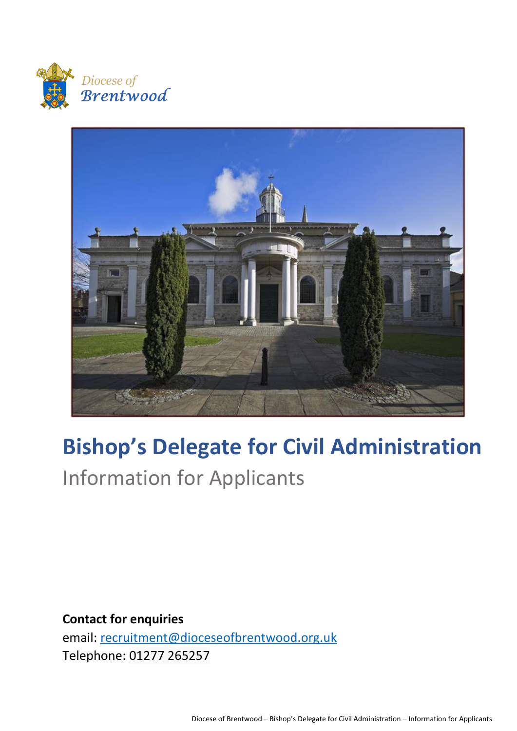



# **Bishop's Delegate for Civil Administration** Information for Applicants

**Contact for enquiries** email: [recruitment@dioceseofbrentwood.org.uk](mailto:recruitment@dioceseofbrentwood.org.uk) Telephone: 01277 265257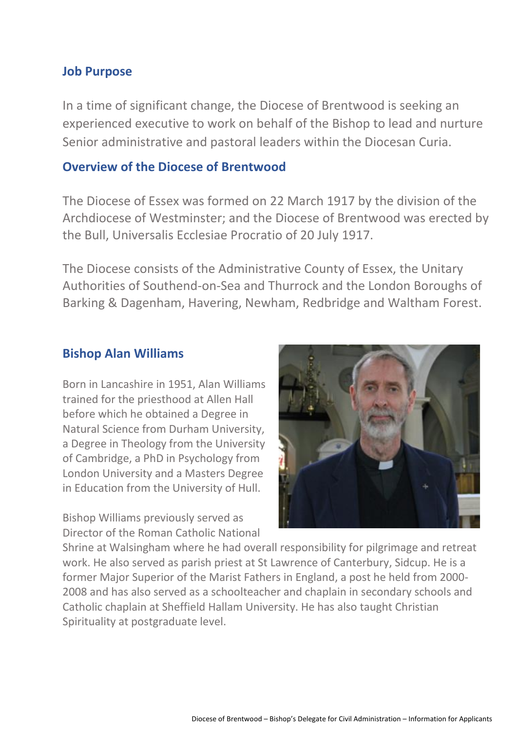## **Job Purpose**

In a time of significant change, the Diocese of Brentwood is seeking an experienced executive to work on behalf of the Bishop to lead and nurture Senior administrative and pastoral leaders within the Diocesan Curia.

## **Overview of the Diocese of Brentwood**

The Diocese of Essex was formed on 22 March 1917 by the division of the Archdiocese of Westminster; and the Diocese of Brentwood was erected by the Bull, Universalis Ecclesiae Procratio of 20 July 1917.

The Diocese consists of the Administrative County of Essex, the Unitary Authorities of Southend-on-Sea and Thurrock and the London Boroughs of Barking & Dagenham, Havering, Newham, Redbridge and Waltham Forest.

## **Bishop Alan Williams**

Born in Lancashire in 1951, Alan Williams trained for the priesthood at Allen Hall before which he obtained a Degree in Natural Science from Durham University, a Degree in Theology from the University of Cambridge, a PhD in Psychology from London University and a Masters Degree in Education from the University of Hull.

Bishop Williams previously served as Director of the Roman Catholic National



Shrine at Walsingham where he had overall responsibility for pilgrimage and retreat work. He also served as parish priest at St Lawrence of Canterbury, Sidcup. He is a former Major Superior of the Marist Fathers in England, a post he held from 2000- 2008 and has also served as a schoolteacher and chaplain in secondary schools and Catholic chaplain at Sheffield Hallam University. He has also taught Christian Spirituality at postgraduate level.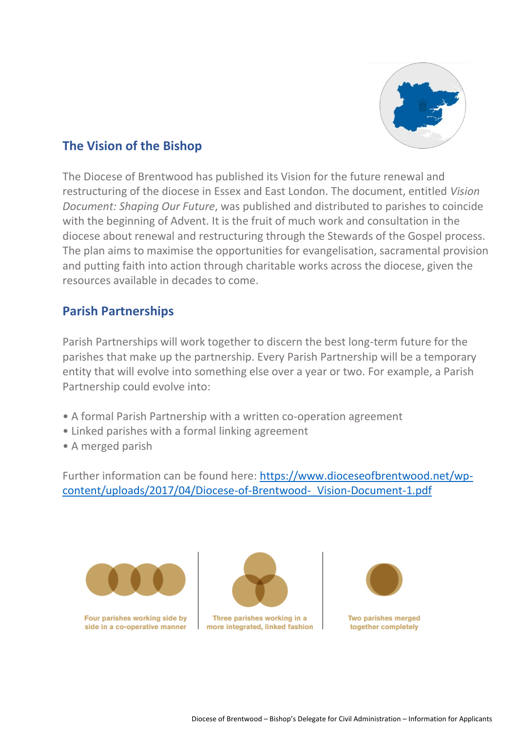

# **The Vision of the Bishop**

The Diocese of Brentwood has published its Vision for the future renewal and restructuring of the diocese in Essex and East London. The document, entitled *Vision Document: Shaping Our Future*, was published and distributed to parishes to coincide with the beginning of Advent. It is the fruit of much work and consultation in the diocese about renewal and restructuring through the Stewards of the Gospel process. The plan aims to maximise the opportunities for evangelisation, sacramental provision and putting faith into action through charitable works across the diocese, given the resources available in decades to come.

# **Parish Partnerships**

Parish Partnerships will work together to discern the best long-term future for the parishes that make up the partnership. Every Parish Partnership will be a temporary entity that will evolve into something else over a year or two. For example, a Parish Partnership could evolve into:

- A formal Parish Partnership with a written co-operation agreement
- Linked parishes with a formal linking agreement
- A merged parish

Further information can be found here: [https://www.dioceseofbrentwood.net/wp](https://www.dioceseofbrentwood.net/wp-content/uploads/2017/04/Diocese-of-Brentwood-_Vision-Document-1.pdf)[content/uploads/2017/04/Diocese-of-Brentwood-\\_Vision-Document-1.pdf](https://www.dioceseofbrentwood.net/wp-content/uploads/2017/04/Diocese-of-Brentwood-_Vision-Document-1.pdf)



Four parishes working side by side in a co-operative manner



Three parishes working in a more integrated, linked fashion

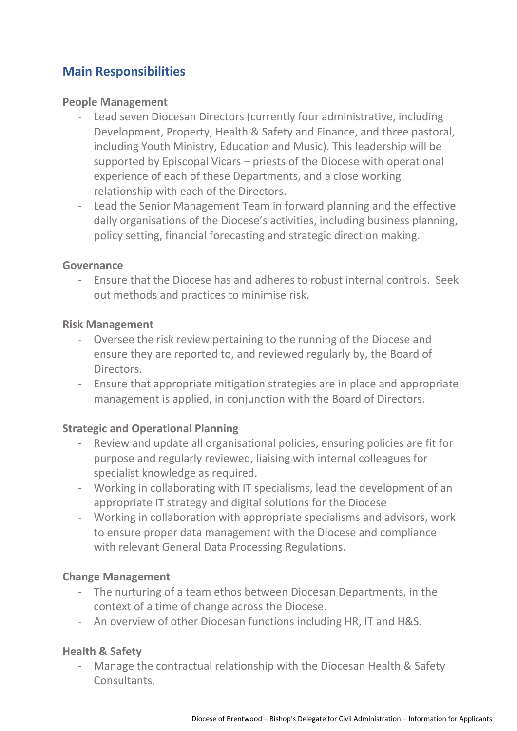# **Main Responsibilities**

## **People Management**

- Lead seven Diocesan Directors (currently four administrative, including Development, Property, Health & Safety and Finance, and three pastoral, including Youth Ministry, Education and Music). This leadership will be supported by Episcopal Vicars – priests of the Diocese with operational experience of each of these Departments, and a close working relationship with each of the Directors.
- Lead the Senior Management Team in forward planning and the effective daily organisations of the Diocese's activities, including business planning, policy setting, financial forecasting and strategic direction making.

#### **Governance**

- Ensure that the Diocese has and adheres to robust internal controls. Seek out methods and practices to minimise risk.

#### **Risk Management**

- Oversee the risk review pertaining to the running of the Diocese and ensure they are reported to, and reviewed regularly by, the Board of Directors.
- Ensure that appropriate mitigation strategies are in place and appropriate management is applied, in conjunction with the Board of Directors.

## **Strategic and Operational Planning**

- Review and update all organisational policies, ensuring policies are fit for purpose and regularly reviewed, liaising with internal colleagues for specialist knowledge as required.
- Working in collaborating with IT specialisms, lead the development of an appropriate IT strategy and digital solutions for the Diocese
- Working in collaboration with appropriate specialisms and advisors, work to ensure proper data management with the Diocese and compliance with relevant General Data Processing Regulations.

#### **Change Management**

- The nurturing of a team ethos between Diocesan Departments, in the context of a time of change across the Diocese.
- An overview of other Diocesan functions including HR, IT and H&S.

## **Health & Safety**

- Manage the contractual relationship with the Diocesan Health & Safety Consultants.